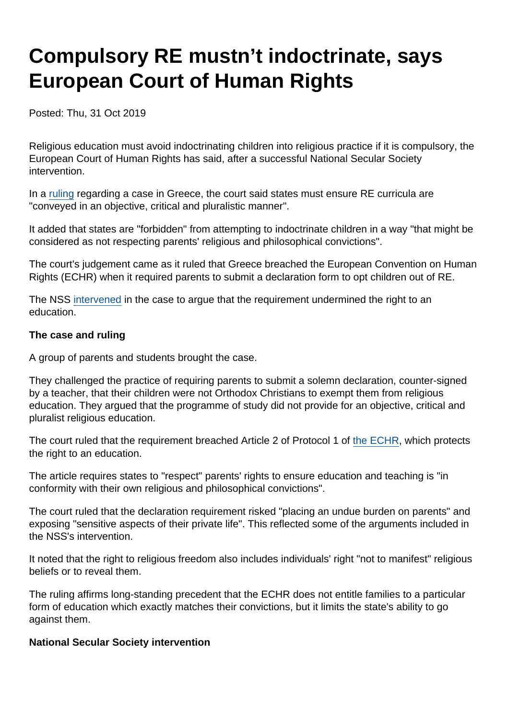## Compulsory RE mustn't indoctrinate, says European Court of Human Rights

Posted: Thu, 31 Oct 2019

Religious education must avoid indoctrinating children into religious practice if it is compulsory, the European Court of Human Rights has said, after a successful National Secular Society intervention.

In a [ruling](https://hudoc.echr.coe.int/eng#{"itemid":["001-197254"]}) regarding a case in Greece, the court said states must ensure RE curricula are "conveyed in an objective, critical and pluralistic manner".

It added that states are "forbidden" from attempting to indoctrinate children in a way "that might be considered as not respecting parents' religious and philosophical convictions".

The court's judgement came as it ruled that Greece breached the European Convention on Human Rights (ECHR) when it required parents to submit a declaration form to opt children out of RE.

The NSS [intervened](https://www.secularism.org.uk/news/2019/05/nss-intervenes-in-key-european-court-religious-education-case/) in the case to argue that the requirement undermined the right to an education.

The case and ruling

A group of parents and students brought the case.

They challenged the practice of requiring parents to submit a solemn declaration, counter-signed by a teacher, that their children were not Orthodox Christians to exempt them from religious education. They argued that the programme of study did not provide for an objective, critical and pluralist religious education.

The court ruled that the requirement breached Article 2 of Protocol 1 of [the ECHR,](https://www.echr.coe.int/Documents/Convention_ENG.pdf) which protects the right to an education.

The article requires states to "respect" parents' rights to ensure education and teaching is "in conformity with their own religious and philosophical convictions".

The court ruled that the declaration requirement risked "placing an undue burden on parents" and exposing "sensitive aspects of their private life". This reflected some of the arguments included in the NSS's intervention.

It noted that the right to religious freedom also includes individuals' right "not to manifest" religious beliefs or to reveal them.

The ruling affirms long-standing precedent that the ECHR does not entitle families to a particular form of education which exactly matches their convictions, but it limits the state's ability to go against them.

National Secular Society intervention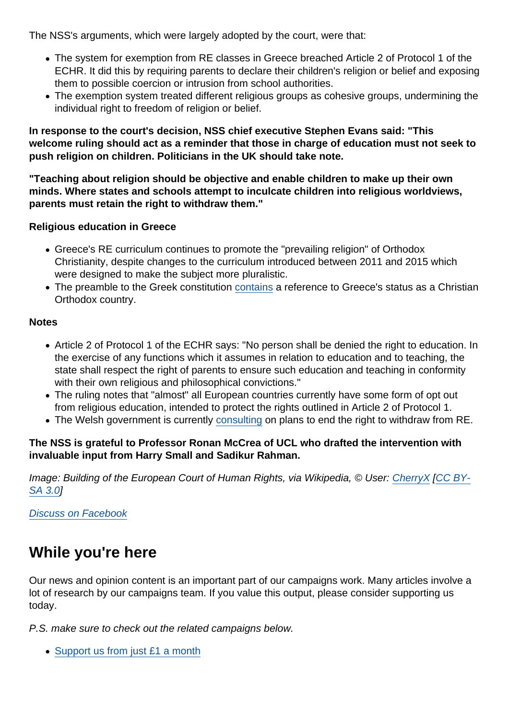The NSS's arguments, which were largely adopted by the court, were that:

- The system for exemption from RE classes in Greece breached Article 2 of Protocol 1 of the ECHR. It did this by requiring parents to declare their children's religion or belief and exposing them to possible coercion or intrusion from school authorities.
- The exemption system treated different religious groups as cohesive groups, undermining the individual right to freedom of religion or belief.

In response to the court's decision, NSS chief executive Stephen Evans said: "This welcome ruling should act as a reminder that those in charge of education must not seek to push religion on children. Politicians in the UK should take note.

"Teaching about religion should be objective and enable children to make up their own minds. Where states and schools attempt to inculcate children into religious worldviews, parents must retain the right to withdraw them."

Religious education in Greece

- Greece's RE curriculum continues to promote the "prevailing religion" of Orthodox Christianity, despite changes to the curriculum introduced between 2011 and 2015 which were designed to make the subject more pluralistic.
- The preamble to the Greek constitution [contains](https://www.secularism.org.uk/news/2018/11/greece-takes-major-step-towards-disestablishment-of-orthodox-church/) a reference to Greece's status as a Christian Orthodox country.

## **Notes**

- Article 2 of Protocol 1 of the ECHR says: "No person shall be denied the right to education. In the exercise of any functions which it assumes in relation to education and to teaching, the state shall respect the right of parents to ensure such education and teaching in conformity with their own religious and philosophical convictions."
- The ruling notes that "almost" all European countries currently have some form of opt out from religious education, intended to protect the rights outlined in Article 2 of Protocol 1.
- The Welsh government is currently [consulting](https://www.secularism.org.uk/news/2019/10/welsh-government-considers-ending-right-to-withdraw-from-re-and-rse/) on plans to end the right to withdraw from RE.

The NSS is grateful to Professor Ronan McCrea of UCL who drafted the intervention with invaluable input from Harry Small and Sadikur Rahman.

Image: Building of the European Court of Human Rights, via Wikipedia, © User: [CherryX](https://en.wikipedia.org/wiki/User:CherryX) [[CC BY-](https://creativecommons.org/licenses/by-sa/3.0/)[SA 3.0](https://creativecommons.org/licenses/by-sa/3.0/)]

[Discuss on Facebook](https://www.facebook.com/NationalSecularSociety/posts/2553018344766501?__xts__[0]=68.ARDe-BLNugxkcebes7yvIIo0_jmBsIDb0guY1x6qNPRV473QryL02f7AZosZ0xWLx8th14FVmBbBf69hfF5HOvxUG-AabL1Ai85v3ei2IENxeHwcAULSCAow0azRPYWGEoy8hVDGWzazFM6PlJ9dOZ7s-79uW-Qe0alKUKO0av-sU9WNqgVKkTRev1OpqusT71_kwPg1n6ykJzfz57K5Ru_MU5L-EdC9RD3f2mYVB4n-PH2nAVJzKwzOmAR1IiSyzag6INkdKSaXmf90hdjcBKYKee7Zqw_hQujXx_6opthAGbzfk2fbKHNg4U_aNC9Yt4Gm-IT8WiWXupeXCRGqHSexng&__tn__=-R)

## While you're here

Our news and opinion content is an important part of our campaigns work. Many articles involve a lot of research by our campaigns team. If you value this output, please consider supporting us today.

P.S. make sure to check out the related campaigns below.

• [Support us from just £1 a month](https://www.secularism.org.uk/donate.html)